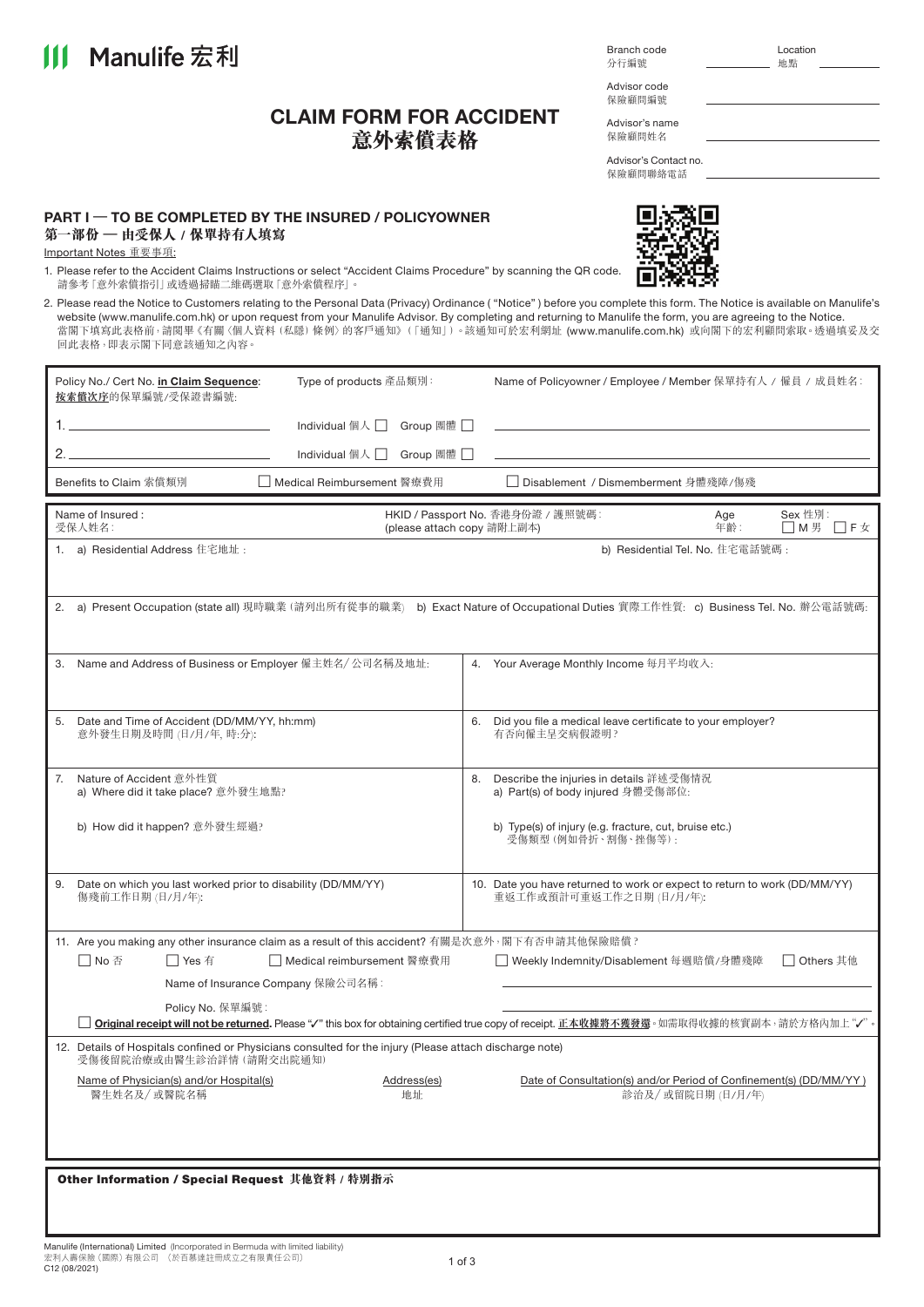|                                                 | 1. Please refer to the Accident Claims Instructions or select "Accident Claims Procedure" by scanning the QR code.<br>請參考「意外索償指引」或透過掃瞄二維碼選取「意外索償程序」。                                                                                                        |                                  |            |                                                                                                                                                                                                                                                                                                                                                                                                                                          |  |  |  |
|-------------------------------------------------|-------------------------------------------------------------------------------------------------------------------------------------------------------------------------------------------------------------------------------------------------------------|----------------------------------|------------|------------------------------------------------------------------------------------------------------------------------------------------------------------------------------------------------------------------------------------------------------------------------------------------------------------------------------------------------------------------------------------------------------------------------------------------|--|--|--|
|                                                 | 回此表格,即表示閣下同意該通知之內容。                                                                                                                                                                                                                                         |                                  |            | 2. Please read the Notice to Customers relating to the Personal Data (Privacy) Ordinance ("Notice") before you complete this form. The Notice is available on Manulife's<br>website (www.manulife.com.hk) or upon request from your Manulife Advisor. By completing and returning to Manulife the form, you are agreeing to the Notice.<br>當閣下填寫此表格前,請閱畢《有關〈個人資料 (私隱) 條例〉的客戶通知》(「通知」)。該通知可於宏利網址 (www.manulife.com.hk) 或向閣下的宏利顧問索取。透過填妥及交 |  |  |  |
|                                                 | Policy No./ Cert No. in Claim Sequence:<br>按索償次序的保單編號/受保證書編號:                                                                                                                                                                                               | Type of products 產品類別:           |            | Name of Policyowner / Employee / Member 保單持有人 / 僱員 / 成員姓名:                                                                                                                                                                                                                                                                                                                                                                               |  |  |  |
|                                                 | the control of the control of the control of                                                                                                                                                                                                                | Individual 個人 $\Box$<br>Group 團體 |            |                                                                                                                                                                                                                                                                                                                                                                                                                                          |  |  |  |
| 2. $-$                                          |                                                                                                                                                                                                                                                             | Individual 個人<br>Group 團體        |            |                                                                                                                                                                                                                                                                                                                                                                                                                                          |  |  |  |
|                                                 | Benefits to Claim 索償類別                                                                                                                                                                                                                                      | □ Medical Reimbursement 醫療費用     |            | □ Disablement / Dismemberment 身體殘障/傷殘                                                                                                                                                                                                                                                                                                                                                                                                    |  |  |  |
|                                                 | Name of Insured:<br>受保人姓名:                                                                                                                                                                                                                                  | (please attach copy 請附上副本)       |            | HKID / Passport No. 香港身份證 / 護照號碼:<br>Sex 性別:<br>Age<br>年齡:<br>□M男 □F女                                                                                                                                                                                                                                                                                                                                                                    |  |  |  |
|                                                 | 1. a) Residential Address 住宅地址:                                                                                                                                                                                                                             |                                  |            | b) Residential Tel. No. 住宅電話號碼:                                                                                                                                                                                                                                                                                                                                                                                                          |  |  |  |
|                                                 |                                                                                                                                                                                                                                                             |                                  |            | 2. a) Present Occupation (state all) 現時職業 (請列出所有從事的職業) b) Exact Nature of Occupational Duties 實際工作性質: c) Business Tel. No. 辦公電話號碼:                                                                                                                                                                                                                                                                                                       |  |  |  |
|                                                 | 3. Name and Address of Business or Employer 僱主姓名/ 公司名稱及地址:                                                                                                                                                                                                  |                                  |            | 4. Your Average Monthly Income 每月平均收入:                                                                                                                                                                                                                                                                                                                                                                                                   |  |  |  |
| 5.                                              | Date and Time of Accident (DD/MM/YY, hh:mm)<br>意外發生日期及時間 (日/月/年,時:分):                                                                                                                                                                                       |                                  |            | Did you file a medical leave certificate to your employer?<br>6.<br>有否向僱主呈交病假證明?                                                                                                                                                                                                                                                                                                                                                         |  |  |  |
| 7.                                              | Nature of Accident 意外性質<br>a) Where did it take place? 意外發生地點?                                                                                                                                                                                              |                                  | 8.         | Describe the injuries in details 詳述受傷情況<br>a) Part(s) of body injured 身體受傷部位:                                                                                                                                                                                                                                                                                                                                                            |  |  |  |
|                                                 | b) How did it happen? 意外發生經過?                                                                                                                                                                                                                               |                                  |            | b) Type(s) of injury (e.g. fracture, cut, bruise etc.)<br>受傷類型(例如骨折、割傷、挫傷等):                                                                                                                                                                                                                                                                                                                                                             |  |  |  |
| 9.                                              | Date on which you last worked prior to disability (DD/MM/YY)<br>傷殘前工作日期 (日/月/年):                                                                                                                                                                            |                                  |            | 10. Date you have returned to work or expect to return to work (DD/MM/YY)<br>重返工作或預計可重返工作之日期 (日/月/年):                                                                                                                                                                                                                                                                                                                                    |  |  |  |
|                                                 | 11. Are you making any other insurance claim as a result of this accident? 有關是次意外, 閣下有否申請其他保險賠償?                                                                                                                                                            |                                  |            |                                                                                                                                                                                                                                                                                                                                                                                                                                          |  |  |  |
|                                                 | □ No 否<br>$\Box$ Yes 有<br>Name of Insurance Company 保險公司名稱:                                                                                                                                                                                                 | │ │ Medical reimbursement 醫療費用   |            | □ Others 其他<br>■ Weekly Indemnity/Disablement 每週賠償/身體殘障                                                                                                                                                                                                                                                                                                                                                                                  |  |  |  |
|                                                 | Policy No. 保單編號:                                                                                                                                                                                                                                            |                                  |            |                                                                                                                                                                                                                                                                                                                                                                                                                                          |  |  |  |
|                                                 | <b>Original receipt will not be returned.</b> Please "√" this box for obtaining certified true copy of receipt. 正本收據將不獲發還。如需取得收據的核實副本,請於方格內加上"√"<br>12. Details of Hospitals confined or Physicians consulted for the injury (Please attach discharge note) |                                  |            |                                                                                                                                                                                                                                                                                                                                                                                                                                          |  |  |  |
|                                                 | 受傷後留院治療或由醫生診治詳情 (請附交出院通知)<br>Name of Physician(s) and/or Hospital(s)<br>醫生姓名及/ 或醫院名稱                                                                                                                                                                        | Address(es)<br>地址                |            | Date of Consultation(s) and/or Period of Confinement(s) (DD/MM/YY)<br>診治及/或留院日期 (日/月/年)                                                                                                                                                                                                                                                                                                                                                  |  |  |  |
|                                                 |                                                                                                                                                                                                                                                             |                                  |            |                                                                                                                                                                                                                                                                                                                                                                                                                                          |  |  |  |
| Other Information / Special Request 其他資料 / 特別指示 |                                                                                                                                                                                                                                                             |                                  |            |                                                                                                                                                                                                                                                                                                                                                                                                                                          |  |  |  |
|                                                 |                                                                                                                                                                                                                                                             |                                  |            |                                                                                                                                                                                                                                                                                                                                                                                                                                          |  |  |  |
|                                                 |                                                                                                                                                                                                                                                             |                                  |            |                                                                                                                                                                                                                                                                                                                                                                                                                                          |  |  |  |
|                                                 | Manulife (International) Limited (Incorporated in Bermuda with limited liability)<br>宏利人壽保險 (國際) 有限公司 (於百慕達註冊成立之有限責任公司)<br>C12 (08/2021)                                                                                                                    |                                  | $1$ of $3$ |                                                                                                                                                                                                                                                                                                                                                                                                                                          |  |  |  |

| <b>PART I - TO BE COMPLETED BY THE INSURED / POLICYOWNER</b> |  |
|--------------------------------------------------------------|--|
| 第一部份 - 由受保人 / 保單持有人填寫                                        |  |

Important Notes 重要事項:

**III** Manulife 宏利

**CLAIM FORM FOR ACCIDENT 意外索償表格**

Advisor code 保險顧問編號

分行編號

Advisor's name 保險顧問姓名

保險顧問聯絡電話

n.

Advisor's Contact no.

 $\overline{a}$ 

ΧQ

Branch code Location<br>分行編號 \_\_\_\_\_\_\_\_\_\_\_\_\_\_\_\_\_\_\_\_\_ 地點

| ermuda with limited liability) |  |
|--------------------------------|--|
| 之有限青任公司)                       |  |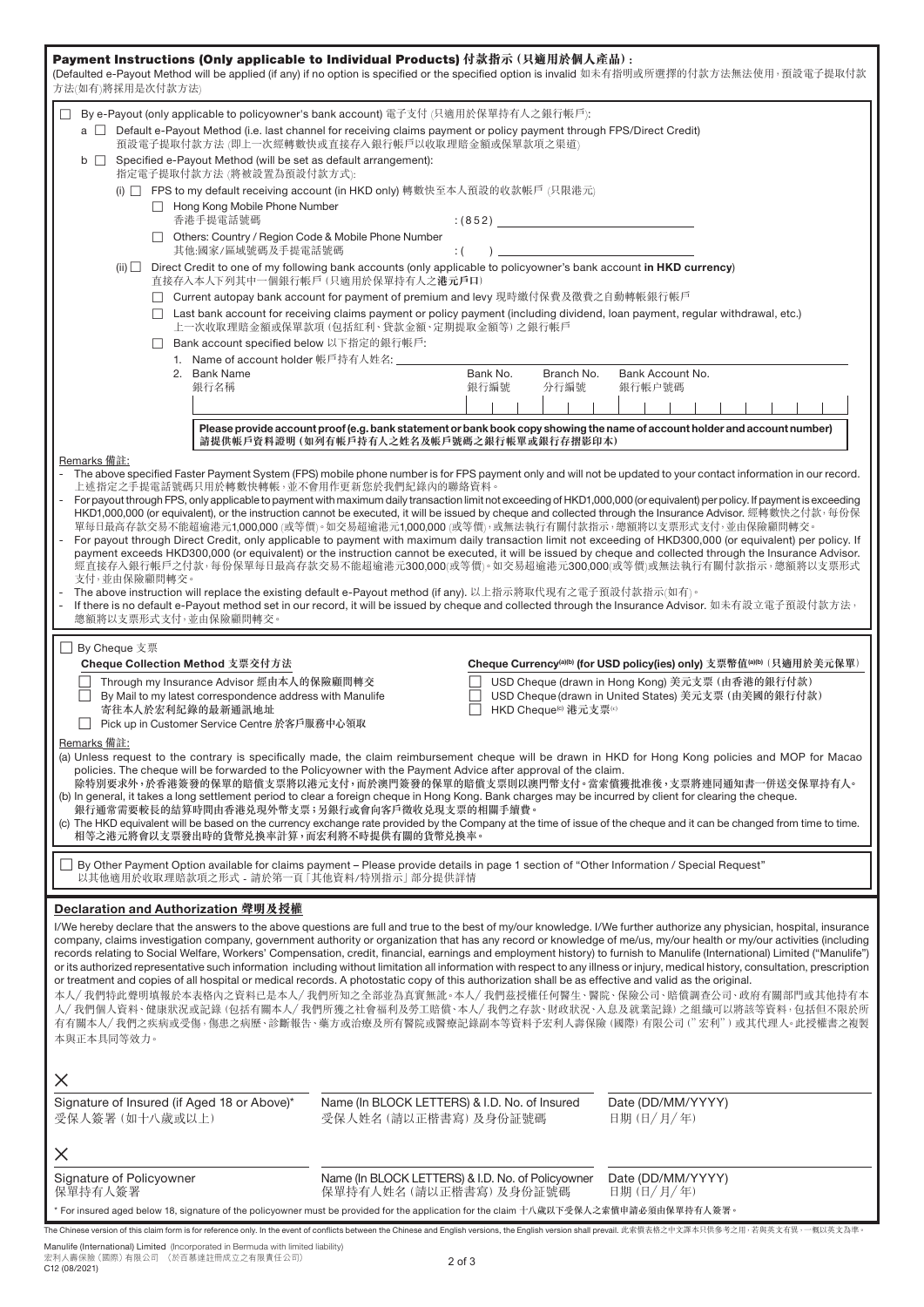| Payment Instructions (Only applicable to Individual Products) 付款指示 (只適用於個人產品) :<br>(Defaulted e-Payout Method will be applied (if any) if no option is specified or the specified option is invalid 如未有指明或所選擇的付款方法無法使用, 預設電子提取付款<br>方法(如有)將採用是次付款方法)                                                                                                                                                                                                                                                                                                                                                                                                                                                                                                                                                                                                                                                                                                                                                                                                                                                                                                                                                                                                                                                                                                                           |                                                                                                                                                                                                                             |                                                 |                                                                                                                                                                                                                                                                                             |  |  |
|--------------------------------------------------------------------------------------------------------------------------------------------------------------------------------------------------------------------------------------------------------------------------------------------------------------------------------------------------------------------------------------------------------------------------------------------------------------------------------------------------------------------------------------------------------------------------------------------------------------------------------------------------------------------------------------------------------------------------------------------------------------------------------------------------------------------------------------------------------------------------------------------------------------------------------------------------------------------------------------------------------------------------------------------------------------------------------------------------------------------------------------------------------------------------------------------------------------------------------------------------------------------------------------------------------------------------------------------------------------------------------|-----------------------------------------------------------------------------------------------------------------------------------------------------------------------------------------------------------------------------|-------------------------------------------------|---------------------------------------------------------------------------------------------------------------------------------------------------------------------------------------------------------------------------------------------------------------------------------------------|--|--|
| By e-Payout (only applicable to policyowner's bank account) 電子支付 (只適用於保單持有人之銀行帳戶):<br>⊔<br>a  Default e-Payout Method (i.e. last channel for receiving claims payment or policy payment through FPS/Direct Credit)<br>預設電子提取付款方法 (即上一次經轉數快或直接存入銀行帳戶以收取理賠金額或保單款項之渠道)<br>Specified e-Payout Method (will be set as default arrangement):<br>$\mathsf{b}$ $\Box$<br>指定電子提取付款方法 (將被設置為預設付款方式):<br>(i) □ FPS to my default receiving account (in HKD only) 轉數快至本人預設的收款帳戶 (只限港元)<br>Hong Kong Mobile Phone Number<br>香港手提電話號碼<br>□ Others: Country / Region Code & Mobile Phone Number<br>其他:國家/區域號碼及手提電話號碼<br>Direct Credit to one of my following bank accounts (only applicable to policyowner's bank account in HKD currency)<br>$(ii)$ $\Box$<br>Bank account specified below 以下指定的銀行帳戶:<br>$\Box$<br>1. Name of account holder 帳戶持有人姓名: ______<br>2. Bank Name<br>銀行名稱<br>Remarks 備註:                                                                                                                                                                                                                                                                                                                                                                                                                                                                                          | $\colon$ (<br>直接存入本人下列其中一個銀行帳戶 (只適用於保單持有人之港元戶口)<br>□ Current autopay bank account for payment of premium and levy 現時繳付保費及徵費之自動轉帳銀行帳戶<br>上一次收取理賠金額或保單款項(包括紅利、貸款金額、定期提取金額等)之銀行帳戶<br>請提供帳戶資料證明 (如列有帳戶持有人之姓名及帳戶號碼之銀行帳單或銀行存摺影印本) | (852)<br>Bank No.<br>Branch No.<br>銀行編號<br>分行編號 | □ Last bank account for receiving claims payment or policy payment (including dividend, loan payment, regular withdrawal, etc.)<br>Bank Account No.<br>銀行帳户號碼<br>Please provide account proof (e.g. bank statement or bank book copy showing the name of account holder and account number) |  |  |
| The above specified Faster Payment System (FPS) mobile phone number is for FPS payment only and will not be updated to your contact information in our record.<br>上述指定之手提電話號碼只用於轉數快轉帳,並不會用作更新您於我們紀錄內的聯絡資料。<br>For payout through FPS, only applicable to payment with maximum daily transaction limit not exceeding of HKD1,000,000 (or equivalent) per policy. If payment is exceeding<br>HKD1,000,000 (or equivalent), or the instruction cannot be executed, it will be issued by cheque and collected through the Insurance Advisor. 經轉數快之付款, 每份保<br>單每日最高存款交易不能超逾港元1,000,000 (或等價)。如交易超逾港元1,000,000 (或等價),或無法執行有關付款指示,總額將以支票形式支付,並由保險顧問轉交。<br>For payout through Direct Credit, only applicable to payment with maximum daily transaction limit not exceeding of HKD300,000 (or equivalent) per policy. If<br>payment exceeds HKD300,000 (or equivalent) or the instruction cannot be executed, it will be issued by cheque and collected through the Insurance Advisor.<br>經直接存入銀行帳戶之付款,每份保單每日最高存款交易不能超逾港元300,000(或等價)。如交易超逾港元300,000(或等價)或無法執行有關付款指示,總額將以支票形式<br>支付,並由保險顧問轉交。<br>The above instruction will replace the existing default e-Payout method (if any). 以上指示將取代現有之電子預設付款指示(如有)。<br>If there is no default e-Payout method set in our record, it will be issued by cheque and collected through the Insurance Advisor. 如未有設立電子預設付款方法,<br>總額將以支票形式支付,並由保險顧問轉交。 |                                                                                                                                                                                                                             |                                                 |                                                                                                                                                                                                                                                                                             |  |  |
| □ By Cheque 支票<br>Cheque Collection Method 支票交付方法<br>Cheque Currency <sup>(a)(b)</sup> (for USD policy(ies) only) 支票幣值 <sup>(a)(b)</sup> (只適用於美元保單)<br>Through my Insurance Advisor 經由本人的保險顧問轉交<br>USD Cheque (drawn in Hong Kong) 美元支票 (由香港的銀行付款)<br>USD Cheque (drawn in United States) 美元支票 (由美國的銀行付款)<br>By Mail to my latest correspondence address with Manulife<br>寄往本人於宏利紀錄的最新通訊地址<br>HKD Cheque <sup>(c)</sup> 港元支票(c)<br>□ Pick up in Customer Service Centre 於客戶服務中心領取<br>Remarks 備註:<br>(a) Unless request to the contrary is specifically made, the claim reimbursement cheque will be drawn in HKD for Hong Kong policies and MOP for Macao<br>policies. The cheque will be forwarded to the Policyowner with the Payment Advice after approval of the claim.<br>除特別要求外,於香港簽發的保單的賠償支票將以港元支付,而於澳門簽發的保單的賠償支票則以澳門幣支付。當索償獲批准後,支票將連同通知書一併送交保單持有人。<br>(b) In general, it takes a long settlement period to clear a foreign cheque in Hong Kong. Bank charges may be incurred by client for clearing the cheque.<br>銀行通常需要較長的結算時間由香港兑現外幣支票;另銀行或會向客戶徵收兑現支票的相關手續費。<br>(c) The HKD equivalent will be based on the currency exchange rate provided by the Company at the time of issue of the cheque and it can be changed from time to time.<br>相等之港元將會以支票發出時的貨幣兑換率計算,而宏利將不時提供有關的貨幣兑換率。                                                                                   |                                                                                                                                                                                                                             |                                                 |                                                                                                                                                                                                                                                                                             |  |  |
| By Other Payment Option available for claims payment - Please provide details in page 1 section of "Other Information / Special Request"<br>以其他適用於收取理賠款項之形式 - 請於第一頁「其他資料/特別指示 部分提供詳情                                                                                                                                                                                                                                                                                                                                                                                                                                                                                                                                                                                                                                                                                                                                                                                                                                                                                                                                                                                                                                                                                                                                                                                           |                                                                                                                                                                                                                             |                                                 |                                                                                                                                                                                                                                                                                             |  |  |
| Declaration and Authorization 聲明及授權<br>I/We hereby declare that the answers to the above questions are full and true to the best of my/our knowledge. I/We further authorize any physician, hospital, insurance<br>company, claims investigation company, government authority or organization that has any record or knowledge of me/us, my/our health or my/our activities (including<br>records relating to Social Welfare, Workers' Compensation, credit, financial, earnings and employment history) to furnish to Manulife (International) Limited ("Manulife")<br>or its authorized representative such information including without limitation all information with respect to any illness or injury, medical history, consultation, prescription<br>or treatment and copies of all hospital or medical records. A photostatic copy of this authorization shall be as effective and valid as the original.<br>本人/ 我們特此聲明填報於本表格內之資料已是本人/ 我們所知之全部並為真實無訛。本人/ 我們茲授權任何醫生、醫院、保險公司、賠償調查公司、政府有關部門或其他持有本<br>人/ 我們個人資料、健康狀況或記錄 (包括有關本人/ 我們所獲之社會福利及勞工賠償、本人/ 我們之存款、財政狀況、入息及就業記錄) 之組織可以將該等資料,包括但不限於所<br>有有關本人/ 我們之疾病或受傷,傷患之病歷、診斷報告、藥方或治療及所有醫院或醫療記錄副本等資料予宏利人壽保險 (國際) 有限公司 (" 宏利" ) 或其代理人。此授權書之複製<br>本與正本具同等效力。                                                                                                                                                                      |                                                                                                                                                                                                                             |                                                 |                                                                                                                                                                                                                                                                                             |  |  |
| $\times$<br>Signature of Insured (if Aged 18 or Above)*                                                                                                                                                                                                                                                                                                                                                                                                                                                                                                                                                                                                                                                                                                                                                                                                                                                                                                                                                                                                                                                                                                                                                                                                                                                                                                                        | Name (In BLOCK LETTERS) & I.D. No. of Insured                                                                                                                                                                               |                                                 | Date (DD/MM/YYYY)                                                                                                                                                                                                                                                                           |  |  |
| 受保人簽署 (如十八歲或以上)                                                                                                                                                                                                                                                                                                                                                                                                                                                                                                                                                                                                                                                                                                                                                                                                                                                                                                                                                                                                                                                                                                                                                                                                                                                                                                                                                                | 受保人姓名 (請以正楷書寫)及身份証號碼                                                                                                                                                                                                        |                                                 | 日期 (日/月/年)                                                                                                                                                                                                                                                                                  |  |  |
| X<br>Signature of Policyowner<br>保單持有人簽署                                                                                                                                                                                                                                                                                                                                                                                                                                                                                                                                                                                                                                                                                                                                                                                                                                                                                                                                                                                                                                                                                                                                                                                                                                                                                                                                       | Name (In BLOCK LETTERS) & I.D. No. of Policyowner<br>保單持有人姓名 (請以正楷書寫)及身份証號碼                                                                                                                                                 |                                                 | Date (DD/MM/YYYY)<br>日期 (日/月/年)                                                                                                                                                                                                                                                             |  |  |
| * For insured aged below 18, signature of the policyowner must be provided for the application for the claim 十八歲以下受保人之索償申請必須由保單持有人簽署。<br>The Chinese version of this claim form is for reference only. In the event of conflicts between the Chinese and English versions, the English version shall prevail. 此索償表格之中文譯本只供参考之用,若與英文有異,一概以英文為準                                                                                                                                                                                                                                                                                                                                                                                                                                                                                                                                                                                                                                                                                                                                                                                                                                                                                                                                                                                                                                  |                                                                                                                                                                                                                             |                                                 |                                                                                                                                                                                                                                                                                             |  |  |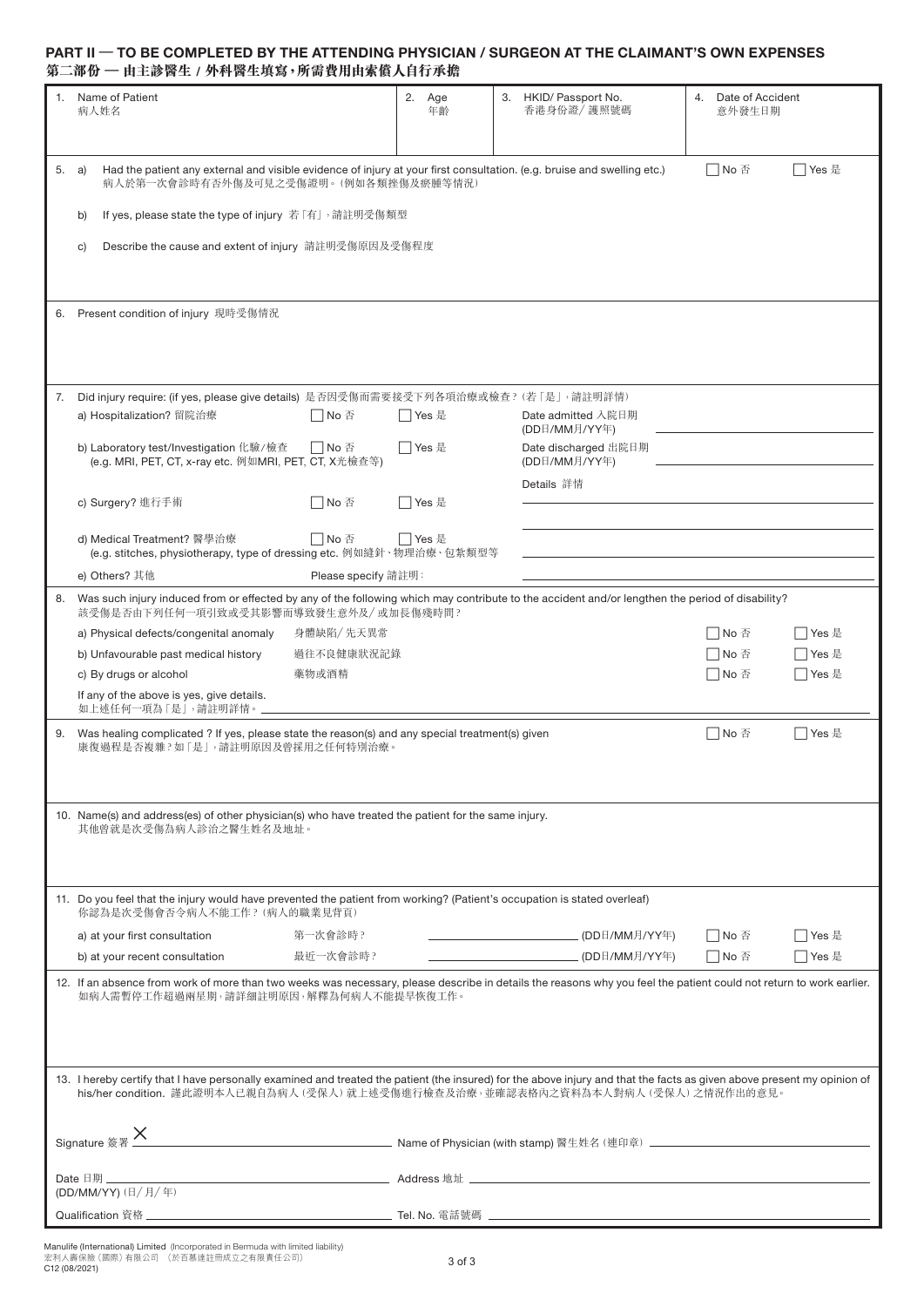### **PART II** – **TO BE COMPLETED BY THE ATTENDING PHYSICIAN / SURGEON AT THE CLAIMANT'S OWN EXPENSES 第二部份 – 由主診醫生 / 外科醫生填寫,所需費用由索償人自行承擔**

| 1.                                                                                                                                                                                                                                                                                                                                                                                                                                                                            | Name of Patient<br>病人姓名                                                                                                                                                                 |                     | 2. Age<br>年齡 |  | 3. HKID/ Passport No.<br>香港身份證/ 護照號碼  | 4. Date of Accident<br>意外發生日期 |           |
|-------------------------------------------------------------------------------------------------------------------------------------------------------------------------------------------------------------------------------------------------------------------------------------------------------------------------------------------------------------------------------------------------------------------------------------------------------------------------------|-----------------------------------------------------------------------------------------------------------------------------------------------------------------------------------------|---------------------|--------------|--|---------------------------------------|-------------------------------|-----------|
| 5.                                                                                                                                                                                                                                                                                                                                                                                                                                                                            | a)<br>Had the patient any external and visible evidence of injury at your first consultation. (e.g. bruise and swelling etc.)<br>病人於第一次會診時有否外傷及可見之受傷證明。(例如各類挫傷及瘀腫等情況)                   |                     |              |  |                                       | □No 否                         | □ Yes 是   |
|                                                                                                                                                                                                                                                                                                                                                                                                                                                                               | If yes, please state the type of injury 若「有」, 請註明受傷類型<br>b)                                                                                                                             |                     |              |  |                                       |                               |           |
|                                                                                                                                                                                                                                                                                                                                                                                                                                                                               | Describe the cause and extent of injury 請註明受傷原因及受傷程度<br>C)                                                                                                                              |                     |              |  |                                       |                               |           |
|                                                                                                                                                                                                                                                                                                                                                                                                                                                                               | 6. Present condition of injury 現時受傷情況                                                                                                                                                   |                     |              |  |                                       |                               |           |
|                                                                                                                                                                                                                                                                                                                                                                                                                                                                               | Did injury require: (if yes, please give details) 是否因受傷而需要接受下列各項治療或檢查? (若「是」,請註明詳情)<br>a) Hospitalization? 留院治療                                                                         | □ No 否              | ヿYes 是       |  | Date admitted 入院日期<br>(DD日/MM月/YY年)   |                               |           |
|                                                                                                                                                                                                                                                                                                                                                                                                                                                                               | b) Laboratory test/Investigation 化驗/檢查<br>(e.g. MRI, PET, CT, x-ray etc. 例如MRI, PET, CT, X光檢查等)                                                                                         | □No 否               | □ Yes 是      |  | Date discharged 出院日期<br>(DD日/MM月/YY年) |                               |           |
|                                                                                                                                                                                                                                                                                                                                                                                                                                                                               | c) Surgery? 進行手術                                                                                                                                                                        | □No 否               | □ Yes 是      |  | Details 詳情                            |                               |           |
|                                                                                                                                                                                                                                                                                                                                                                                                                                                                               | d) Medical Treatment? 醫學治療<br>(e.g. stitches, physiotherapy, type of dressing etc. 例如縫針、物理治療、包紮類型等                                                                                      | □ No 否              | □ Yes 是      |  |                                       |                               |           |
|                                                                                                                                                                                                                                                                                                                                                                                                                                                                               | e) Others? 其他                                                                                                                                                                           | Please specify 請註明: |              |  |                                       |                               |           |
| 8.                                                                                                                                                                                                                                                                                                                                                                                                                                                                            | Was such injury induced from or effected by any of the following which may contribute to the accident and/or lengthen the period of disability?<br>該受傷是否由下列任何一項引致或受其影響而導致發生意外及/或加長傷殘時間? |                     |              |  |                                       |                               |           |
|                                                                                                                                                                                                                                                                                                                                                                                                                                                                               | a) Physical defects/congenital anomaly                                                                                                                                                  | 身體缺陷/先天異常           |              |  |                                       | □No 否                         | ヿYes 是    |
|                                                                                                                                                                                                                                                                                                                                                                                                                                                                               | b) Unfavourable past medical history                                                                                                                                                    | 過往不良健康狀況記錄          |              |  |                                       | No 否                          | Yes 是     |
|                                                                                                                                                                                                                                                                                                                                                                                                                                                                               | c) By drugs or alcohol                                                                                                                                                                  | 藥物或酒精               |              |  |                                       | No 否                          | ヿYes 是    |
|                                                                                                                                                                                                                                                                                                                                                                                                                                                                               | If any of the above is yes, give details.<br>如上述任何一項為「是」,請註明詳情。」                                                                                                                        |                     |              |  |                                       |                               |           |
|                                                                                                                                                                                                                                                                                                                                                                                                                                                                               | 9. Was healing complicated ? If yes, please state the reason(s) and any special treatment(s) given<br>康復過程是否複雜?如「是」,請註明原因及曾採用之任何特別治療。                                                   |                     |              |  |                                       | □No 否                         | ヿYes 是    |
|                                                                                                                                                                                                                                                                                                                                                                                                                                                                               | 10. Name(s) and address(es) of other physician(s) who have treated the patient for the same injury.<br>其他曾就是次受傷為病人診治之醫生姓名及地址。                                                           |                     |              |  |                                       |                               |           |
|                                                                                                                                                                                                                                                                                                                                                                                                                                                                               | 11. Do you feel that the injury would have prevented the patient from working? (Patient's occupation is stated overleaf)<br>你認為是次受傷會否令病人不能工作? (病人的職業見背頁)                                |                     |              |  |                                       |                               |           |
|                                                                                                                                                                                                                                                                                                                                                                                                                                                                               | a) at your first consultation                                                                                                                                                           | 第一次會診時?             |              |  |                                       | □No 否                         | │ │ Yes 是 |
|                                                                                                                                                                                                                                                                                                                                                                                                                                                                               | b) at your recent consultation                                                                                                                                                          | 最近一次會診時?            |              |  |                                       | □No 否                         | ヿYes 是    |
| 12. If an absence from work of more than two weeks was necessary, please describe in details the reasons why you feel the patient could not return to work earlier.<br>如病人需暫停工作超過兩星期,請詳細註明原因,解釋為何病人不能提早恢復工作。<br>13. I hereby certify that I have personally examined and treated the patient (the insured) for the above injury and that the facts as given above present my opinion of<br>his/her condition. 謹此證明本人已親自為病人 (受保人) 就上述受傷進行檢查及治療,並確認表格內之資料為本人對病人 (受保人) 之情況作出的意見。 |                                                                                                                                                                                         |                     |              |  |                                       |                               |           |
| Signature 簽署 X                                                                                                                                                                                                                                                                                                                                                                                                                                                                |                                                                                                                                                                                         |                     |              |  |                                       |                               |           |
|                                                                                                                                                                                                                                                                                                                                                                                                                                                                               |                                                                                                                                                                                         |                     |              |  |                                       |                               |           |
|                                                                                                                                                                                                                                                                                                                                                                                                                                                                               | (DD/MM/YY) (日/月/年)                                                                                                                                                                      |                     |              |  |                                       |                               |           |
|                                                                                                                                                                                                                                                                                                                                                                                                                                                                               |                                                                                                                                                                                         |                     |              |  |                                       |                               |           |